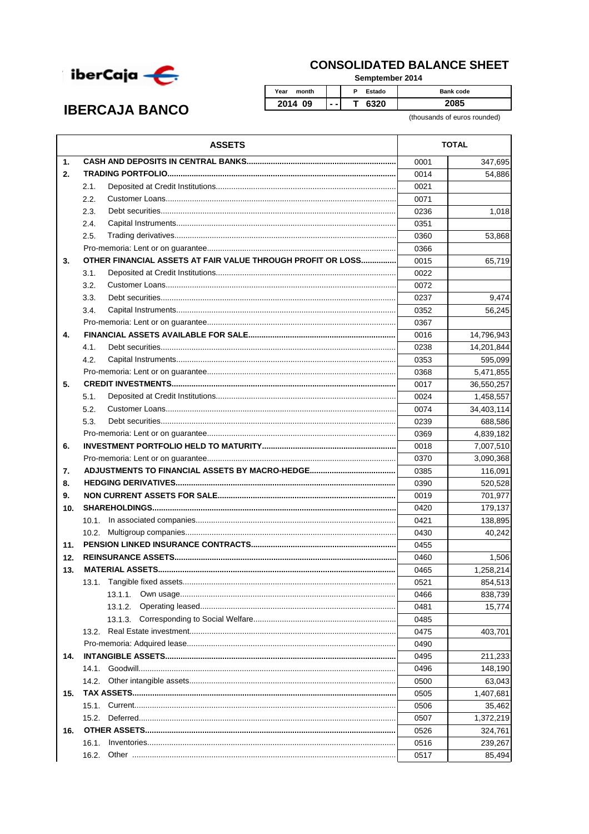

## **CONSOLIDATED BALANCE SHEET**

Semptember 2014

## **IBERCAJA BANCO**

P Estado Bank code  $\overline{\mathsf{T}}$ 6320 2085

(thousands of euros rounded)

|     | <b>ASSETS</b>                                               | <b>TOTAL</b> |            |
|-----|-------------------------------------------------------------|--------------|------------|
| 1.  |                                                             | 0001         | 347,695    |
| 2.  |                                                             | 0014         | 54,886     |
|     | 2.1.                                                        | 0021         |            |
|     | 2.2.                                                        | 0071         |            |
|     | 2.3.                                                        | 0236         | 1,018      |
|     | 2.4.                                                        | 0351         |            |
|     | 2.5.                                                        | 0360         | 53,868     |
|     |                                                             | 0366         |            |
| 3.  | OTHER FINANCIAL ASSETS AT FAIR VALUE THROUGH PROFIT OR LOSS | 0015         | 65,719     |
|     | 3.1.                                                        | 0022         |            |
|     | 3.2.                                                        | 0072         |            |
|     | 3.3.                                                        | 0237         | 9,474      |
|     | 3.4.                                                        | 0352         | 56,245     |
|     |                                                             | 0367         |            |
| 4.  |                                                             | 0016         | 14,796,943 |
|     | 4.1.                                                        | 0238         | 14,201,844 |
|     | 4.2.                                                        | 0353         | 595,099    |
|     |                                                             |              |            |
|     |                                                             | 0368         | 5,471,855  |
| 5.  |                                                             | 0017         | 36,550,257 |
|     | 5.1.                                                        | 0024         | 1,458,557  |
|     | 5.2.                                                        | 0074         | 34,403,114 |
|     | 5.3.                                                        | 0239         | 688,586    |
|     |                                                             | 0369         | 4,839,182  |
| 6.  |                                                             | 0018         | 7,007,510  |
|     |                                                             | 0370         | 3,090,368  |
| 7.  |                                                             | 0385         | 116,091    |
| 8.  |                                                             | 0390         | 520,528    |
| 9.  |                                                             | 0019         | 701,977    |
| 10. |                                                             | 0420         | 179,137    |
|     |                                                             | 0421         | 138,895    |
|     |                                                             | 0430         | 40.242     |
| 11. |                                                             | 0455         |            |
| 12. |                                                             | 0460         | 1,506      |
| 13. |                                                             | 0465         | 1,258,214  |
|     |                                                             | 0521         | 854,513    |
|     | 13.1.1.                                                     | 0466         | 838,739    |
|     | 13.1.2.                                                     | 0481         | 15,774     |
|     |                                                             | 0485         |            |
|     | 13.2.                                                       | 0475         | 403,701    |
|     |                                                             | 0490         |            |
| 14. |                                                             | 0495         | 211,233    |
|     | 14.1.                                                       | 0496         | 148,190    |
|     | 14.2.                                                       | 0500         | 63,043     |
| 15. |                                                             | 0505         | 1,407,681  |
|     | 15.1.                                                       | 0506         | 35,462     |
|     | 15.2.                                                       | 0507         | 1,372,219  |
| 16. |                                                             | 0526         | 324,761    |
|     | 16.1.                                                       | 0516         | 239,267    |
|     | 16.2.                                                       | 0517         | 85,494     |
|     |                                                             |              |            |

Year month

2014 09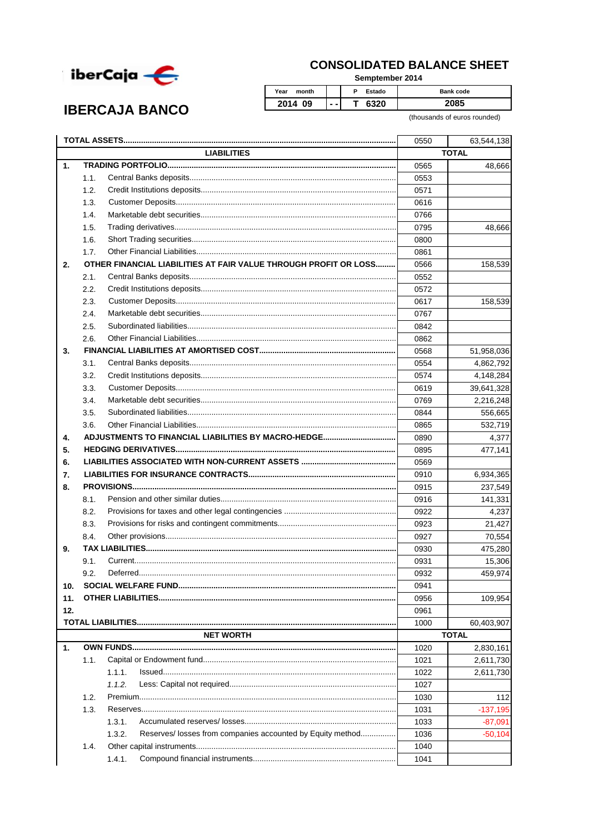

**IBERCAJA BANCO** 

## **CONSOLIDATED BALANCE SHEET**

Semptember 2014

| Year<br>month     |     | Estado<br>Ð | <b>Bank code</b> |
|-------------------|-----|-------------|------------------|
| <b>2014</b><br>09 | - - |             |                  |

(thousands of euros rounded)

|                |                    |                                                                      | 0550         | 63,544,138                 |  |
|----------------|--------------------|----------------------------------------------------------------------|--------------|----------------------------|--|
|                | <b>LIABILITIES</b> |                                                                      |              | <b>TOTAL</b>               |  |
| $\mathbf{1}$ . |                    |                                                                      | 0565         | 48,666                     |  |
|                | 1.1.               |                                                                      | 0553         |                            |  |
|                | 1.2.               |                                                                      | 0571         |                            |  |
|                | 1.3.               |                                                                      | 0616         |                            |  |
|                | 1.4.               |                                                                      | 0766         |                            |  |
|                | 1.5.               |                                                                      | 0795         | 48,666                     |  |
|                | 1.6.               |                                                                      | 0800         |                            |  |
|                | 1.7.               |                                                                      | 0861         |                            |  |
| 2.             |                    | OTHER FINANCIAL LIABILITIES AT FAIR VALUE THROUGH PROFIT OR LOSS     | 0566         | 158,539                    |  |
|                | 2.1.               |                                                                      | 0552         |                            |  |
|                | 2.2.               |                                                                      | 0572         |                            |  |
|                | 2.3.               |                                                                      | 0617         | 158,539                    |  |
|                | 2.4.               |                                                                      | 0767         |                            |  |
|                | 2.5.               |                                                                      | 0842         |                            |  |
|                | 2.6.               |                                                                      | 0862         |                            |  |
| 3.             |                    |                                                                      | 0568         | 51,958,036                 |  |
|                | 3.1.               |                                                                      | 0554         | 4,862,792                  |  |
|                | 3.2.               |                                                                      | 0574         | 4,148,284                  |  |
|                | 3.3.               |                                                                      | 0619         | 39,641,328                 |  |
|                | 3.4.               |                                                                      | 0769         | 2,216,248                  |  |
|                | 3.5.               |                                                                      | 0844         | 556,665                    |  |
|                | 3.6.               |                                                                      | 0865         | 532,719                    |  |
| 4.             |                    |                                                                      | 0890         | 4,377                      |  |
| 5.             |                    |                                                                      | 0895         | 477,141                    |  |
| 6.             |                    |                                                                      | 0569         |                            |  |
| 7.             |                    |                                                                      | 0910         | 6,934,365                  |  |
| 8.             |                    |                                                                      | 0915         | 237,549                    |  |
|                | 8.1.               |                                                                      | 0916         | 141,331                    |  |
|                | 8.2.               |                                                                      | 0922         | 4,237                      |  |
|                | 8.3.               |                                                                      | 0923         | 21,427                     |  |
|                | 8.4.               |                                                                      | 0927         | 70,554                     |  |
| 9.             |                    |                                                                      | 0930         | 475,280                    |  |
|                | 9.1.               |                                                                      | 0931         | 15,306                     |  |
|                | 9.2.               |                                                                      | 0932         | 459,974                    |  |
| 10.            |                    |                                                                      | 0941         |                            |  |
| 11.            |                    |                                                                      | 0956         | 109,954                    |  |
| 12.            |                    |                                                                      | 0961         |                            |  |
|                |                    |                                                                      | 1000         |                            |  |
|                |                    | <b>NET WORTH</b>                                                     |              | 60,403,907<br><b>TOTAL</b> |  |
| $\mathbf{1}$ . |                    |                                                                      |              |                            |  |
|                | 1.1.               |                                                                      | 1020<br>1021 | 2,830,161                  |  |
|                |                    |                                                                      |              | 2,611,730                  |  |
|                |                    | 1.1.1.                                                               | 1022         | 2,611,730                  |  |
|                |                    | 1.1.2.                                                               | 1027         |                            |  |
|                | 1.2.               |                                                                      | 1030         | 112                        |  |
|                | 1.3.               |                                                                      | 1031         | $-137,195$                 |  |
|                |                    | 1.3.1.                                                               | 1033         | $-87,091$                  |  |
|                |                    | 1.3.2.<br>Reserves/ losses from companies accounted by Equity method | 1036         | $-50,104$                  |  |
|                | 1.4.               |                                                                      | 1040         |                            |  |
|                |                    | 1.4.1.                                                               | 1041         |                            |  |